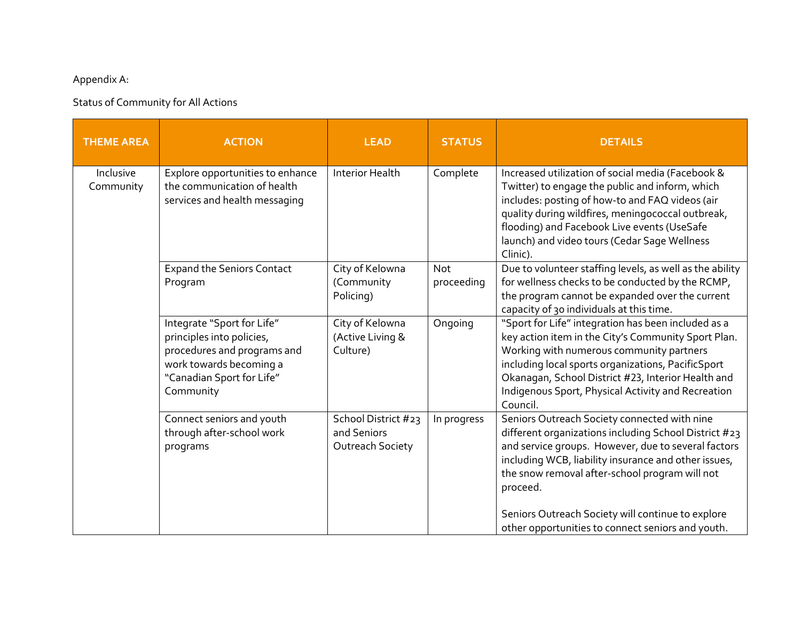## Appendix A:

## Status of Community for All Actions

| <b>THEME AREA</b>      | <b>ACTION</b>                                                                                                                                               | <b>LEAD</b>                                            | <b>STATUS</b>            | <b>DETAILS</b>                                                                                                                                                                                                                                                                                                                                                                               |
|------------------------|-------------------------------------------------------------------------------------------------------------------------------------------------------------|--------------------------------------------------------|--------------------------|----------------------------------------------------------------------------------------------------------------------------------------------------------------------------------------------------------------------------------------------------------------------------------------------------------------------------------------------------------------------------------------------|
| Inclusive<br>Community | Explore opportunities to enhance<br>the communication of health<br>services and health messaging                                                            | <b>Interior Health</b>                                 | Complete                 | Increased utilization of social media (Facebook &<br>Twitter) to engage the public and inform, which<br>includes: posting of how-to and FAQ videos (air<br>quality during wildfires, meningococcal outbreak,<br>flooding) and Facebook Live events (UseSafe<br>launch) and video tours (Cedar Sage Wellness<br>Clinic).                                                                      |
|                        | <b>Expand the Seniors Contact</b><br>Program                                                                                                                | City of Kelowna<br>(Community<br>Policing)             | <b>Not</b><br>proceeding | Due to volunteer staffing levels, as well as the ability<br>for wellness checks to be conducted by the RCMP,<br>the program cannot be expanded over the current<br>capacity of 30 individuals at this time.                                                                                                                                                                                  |
|                        | Integrate "Sport for Life"<br>principles into policies,<br>procedures and programs and<br>work towards becoming a<br>"Canadian Sport for Life"<br>Community | City of Kelowna<br>(Active Living &<br>Culture)        | Ongoing                  | "Sport for Life" integration has been included as a<br>key action item in the City's Community Sport Plan.<br>Working with numerous community partners<br>including local sports organizations, PacificSport<br>Okanagan, School District #23, Interior Health and<br>Indigenous Sport, Physical Activity and Recreation<br>Council.                                                         |
|                        | Connect seniors and youth<br>through after-school work<br>programs                                                                                          | School District #23<br>and Seniors<br>Outreach Society | In progress              | Seniors Outreach Society connected with nine<br>different organizations including School District #23<br>and service groups. However, due to several factors<br>including WCB, liability insurance and other issues,<br>the snow removal after-school program will not<br>proceed.<br>Seniors Outreach Society will continue to explore<br>other opportunities to connect seniors and youth. |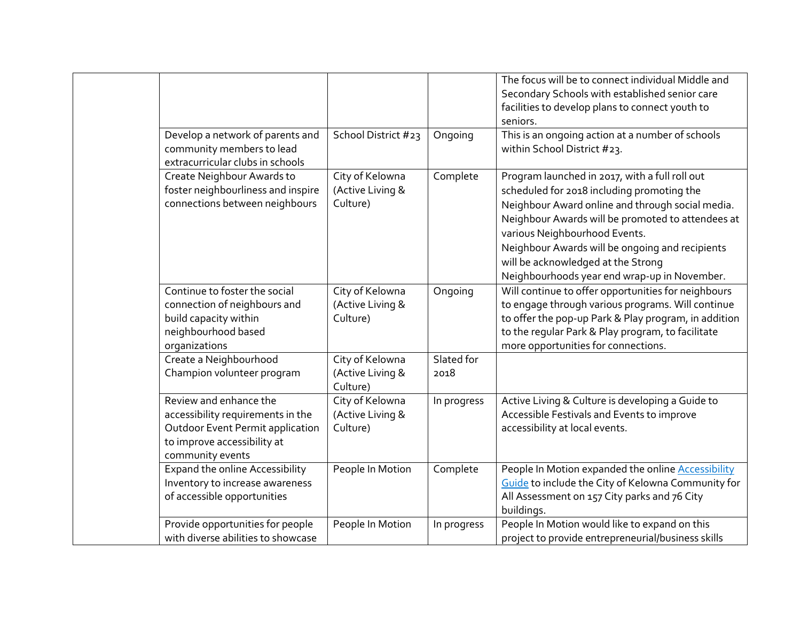|                                                                                                                                                           |                                                 |                    | The focus will be to connect individual Middle and<br>Secondary Schools with established senior care<br>facilities to develop plans to connect youth to<br>seniors.                                                                                                                                                                                                             |
|-----------------------------------------------------------------------------------------------------------------------------------------------------------|-------------------------------------------------|--------------------|---------------------------------------------------------------------------------------------------------------------------------------------------------------------------------------------------------------------------------------------------------------------------------------------------------------------------------------------------------------------------------|
| Develop a network of parents and<br>community members to lead<br>extracurricular clubs in schools                                                         | School District #23                             | Ongoing            | This is an ongoing action at a number of schools<br>within School District #23.                                                                                                                                                                                                                                                                                                 |
| Create Neighbour Awards to<br>foster neighbourliness and inspire<br>connections between neighbours                                                        | City of Kelowna<br>(Active Living &<br>Culture) | Complete           | Program launched in 2017, with a full roll out<br>scheduled for 2018 including promoting the<br>Neighbour Award online and through social media.<br>Neighbour Awards will be promoted to attendees at<br>various Neighbourhood Events.<br>Neighbour Awards will be ongoing and recipients<br>will be acknowledged at the Strong<br>Neighbourhoods year end wrap-up in November. |
| Continue to foster the social<br>connection of neighbours and<br>build capacity within<br>neighbourhood based<br>organizations                            | City of Kelowna<br>(Active Living &<br>Culture) | Ongoing            | Will continue to offer opportunities for neighbours<br>to engage through various programs. Will continue<br>to offer the pop-up Park & Play program, in addition<br>to the regular Park & Play program, to facilitate<br>more opportunities for connections.                                                                                                                    |
| Create a Neighbourhood<br>Champion volunteer program                                                                                                      | City of Kelowna<br>(Active Living &<br>Culture) | Slated for<br>2018 |                                                                                                                                                                                                                                                                                                                                                                                 |
| Review and enhance the<br>accessibility requirements in the<br><b>Outdoor Event Permit application</b><br>to improve accessibility at<br>community events | City of Kelowna<br>(Active Living &<br>Culture) | In progress        | Active Living & Culture is developing a Guide to<br>Accessible Festivals and Events to improve<br>accessibility at local events.                                                                                                                                                                                                                                                |
| <b>Expand the online Accessibility</b><br>Inventory to increase awareness<br>of accessible opportunities                                                  | People In Motion                                | Complete           | People In Motion expanded the online <b>Accessibility</b><br>Guide to include the City of Kelowna Community for<br>All Assessment on 157 City parks and 76 City<br>buildings.                                                                                                                                                                                                   |
| Provide opportunities for people<br>with diverse abilities to showcase                                                                                    | People In Motion                                | In progress        | People In Motion would like to expand on this<br>project to provide entrepreneurial/business skills                                                                                                                                                                                                                                                                             |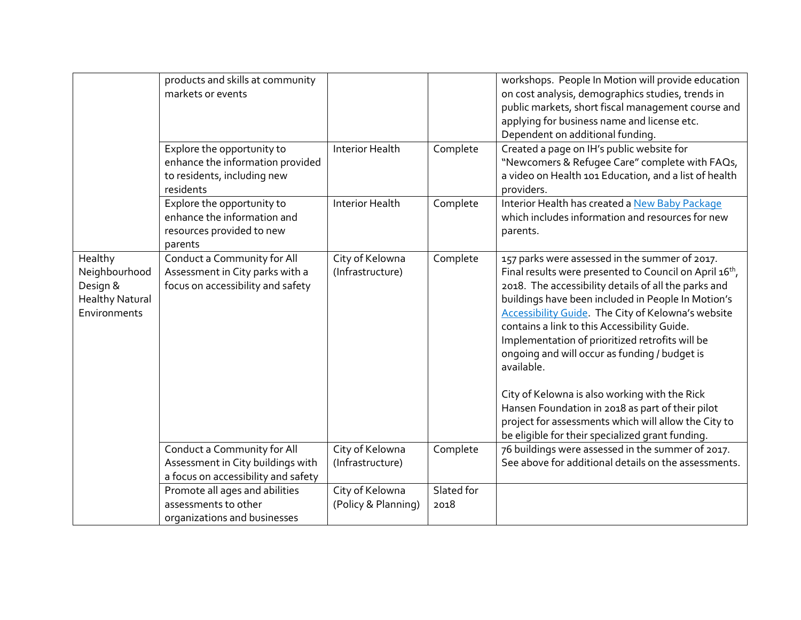|                                                                                | products and skills at community<br>markets or events<br>Explore the opportunity to<br>enhance the information provided<br>to residents, including new<br>residents | <b>Interior Health</b>                 | Complete           | workshops. People In Motion will provide education<br>on cost analysis, demographics studies, trends in<br>public markets, short fiscal management course and<br>applying for business name and license etc.<br>Dependent on additional funding.<br>Created a page on IH's public website for<br>"Newcomers & Refugee Care" complete with FAQs,<br>a video on Health 101 Education, and a list of health<br>providers.                                                                                                                                                                                                                                                       |
|--------------------------------------------------------------------------------|---------------------------------------------------------------------------------------------------------------------------------------------------------------------|----------------------------------------|--------------------|------------------------------------------------------------------------------------------------------------------------------------------------------------------------------------------------------------------------------------------------------------------------------------------------------------------------------------------------------------------------------------------------------------------------------------------------------------------------------------------------------------------------------------------------------------------------------------------------------------------------------------------------------------------------------|
|                                                                                | Explore the opportunity to<br>enhance the information and<br>resources provided to new<br>parents                                                                   | <b>Interior Health</b>                 | Complete           | Interior Health has created a New Baby Package<br>which includes information and resources for new<br>parents.                                                                                                                                                                                                                                                                                                                                                                                                                                                                                                                                                               |
| Healthy<br>Neighbourhood<br>Design &<br><b>Healthy Natural</b><br>Environments | Conduct a Community for All<br>Assessment in City parks with a<br>focus on accessibility and safety                                                                 | City of Kelowna<br>(Infrastructure)    | Complete           | 157 parks were assessed in the summer of 2017.<br>Final results were presented to Council on April 16 <sup>th</sup> ,<br>2018. The accessibility details of all the parks and<br>buildings have been included in People In Motion's<br>Accessibility Guide. The City of Kelowna's website<br>contains a link to this Accessibility Guide.<br>Implementation of prioritized retrofits will be<br>ongoing and will occur as funding / budget is<br>available.<br>City of Kelowna is also working with the Rick<br>Hansen Foundation in 2018 as part of their pilot<br>project for assessments which will allow the City to<br>be eligible for their specialized grant funding. |
|                                                                                | Conduct a Community for All<br>Assessment in City buildings with<br>a focus on accessibility and safety                                                             | City of Kelowna<br>(Infrastructure)    | Complete           | 76 buildings were assessed in the summer of 2017.<br>See above for additional details on the assessments.                                                                                                                                                                                                                                                                                                                                                                                                                                                                                                                                                                    |
|                                                                                | Promote all ages and abilities<br>assessments to other<br>organizations and businesses                                                                              | City of Kelowna<br>(Policy & Planning) | Slated for<br>2018 |                                                                                                                                                                                                                                                                                                                                                                                                                                                                                                                                                                                                                                                                              |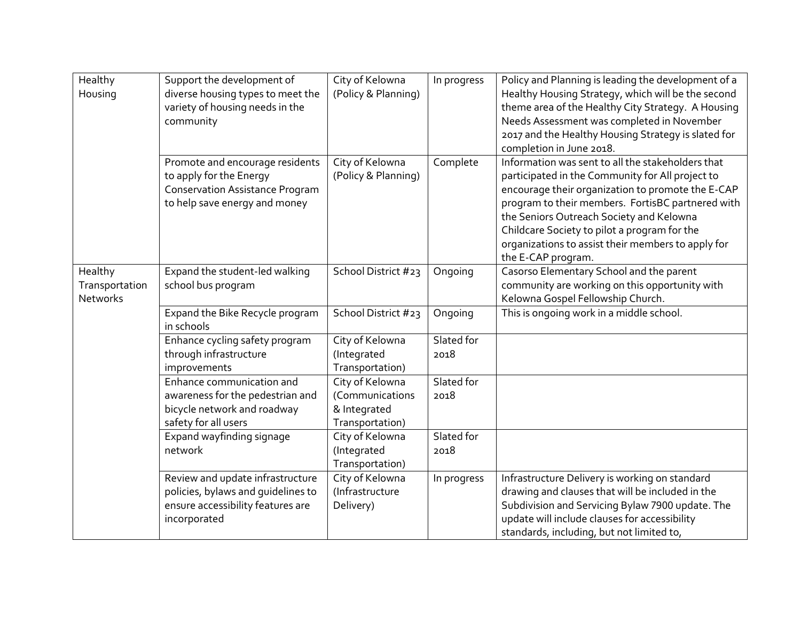| Healthy<br>Housing                           | Support the development of<br>diverse housing types to meet the<br>variety of housing needs in the<br>community                       | City of Kelowna<br>(Policy & Planning)                                | In progress        | Policy and Planning is leading the development of a<br>Healthy Housing Strategy, which will be the second<br>theme area of the Healthy City Strategy. A Housing<br>Needs Assessment was completed in November<br>2017 and the Healthy Housing Strategy is slated for<br>completion in June 2018.                                                                                        |
|----------------------------------------------|---------------------------------------------------------------------------------------------------------------------------------------|-----------------------------------------------------------------------|--------------------|-----------------------------------------------------------------------------------------------------------------------------------------------------------------------------------------------------------------------------------------------------------------------------------------------------------------------------------------------------------------------------------------|
|                                              | Promote and encourage residents<br>to apply for the Energy<br><b>Conservation Assistance Program</b><br>to help save energy and money | City of Kelowna<br>(Policy & Planning)                                | Complete           | Information was sent to all the stakeholders that<br>participated in the Community for All project to<br>encourage their organization to promote the E-CAP<br>program to their members. FortisBC partnered with<br>the Seniors Outreach Society and Kelowna<br>Childcare Society to pilot a program for the<br>organizations to assist their members to apply for<br>the E-CAP program. |
| Healthy<br>Transportation<br><b>Networks</b> | Expand the student-led walking<br>school bus program                                                                                  | School District #23                                                   | Ongoing            | Casorso Elementary School and the parent<br>community are working on this opportunity with<br>Kelowna Gospel Fellowship Church.                                                                                                                                                                                                                                                         |
|                                              | Expand the Bike Recycle program<br>in schools                                                                                         | School District #23                                                   | Ongoing            | This is ongoing work in a middle school.                                                                                                                                                                                                                                                                                                                                                |
|                                              | Enhance cycling safety program<br>through infrastructure<br>improvements                                                              | City of Kelowna<br>(Integrated<br>Transportation)                     | Slated for<br>2018 |                                                                                                                                                                                                                                                                                                                                                                                         |
|                                              | Enhance communication and<br>awareness for the pedestrian and<br>bicycle network and roadway<br>safety for all users                  | City of Kelowna<br>(Communications<br>& Integrated<br>Transportation) | Slated for<br>2018 |                                                                                                                                                                                                                                                                                                                                                                                         |
|                                              | Expand wayfinding signage<br>network                                                                                                  | City of Kelowna<br>(Integrated<br>Transportation)                     | Slated for<br>2018 |                                                                                                                                                                                                                                                                                                                                                                                         |
|                                              | Review and update infrastructure<br>policies, bylaws and quidelines to<br>ensure accessibility features are<br>incorporated           | City of Kelowna<br>(Infrastructure<br>Delivery)                       | In progress        | Infrastructure Delivery is working on standard<br>drawing and clauses that will be included in the<br>Subdivision and Servicing Bylaw 7900 update. The<br>update will include clauses for accessibility<br>standards, including, but not limited to,                                                                                                                                    |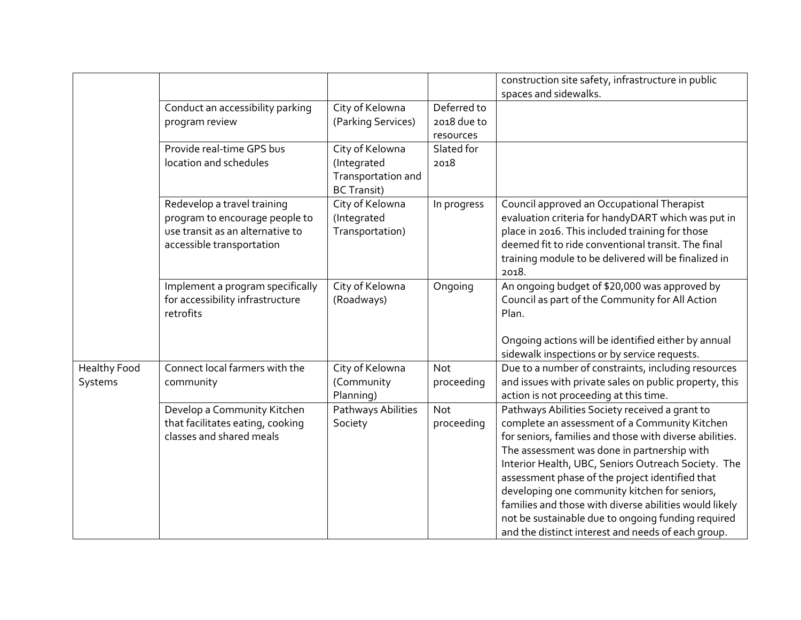|                     |                                  |                    |             | construction site safety, infrastructure in public      |
|---------------------|----------------------------------|--------------------|-------------|---------------------------------------------------------|
|                     |                                  |                    |             | spaces and sidewalks.                                   |
|                     | Conduct an accessibility parking | City of Kelowna    | Deferred to |                                                         |
|                     | program review                   | (Parking Services) | 2018 due to |                                                         |
|                     |                                  |                    | resources   |                                                         |
|                     | Provide real-time GPS bus        | City of Kelowna    | Slated for  |                                                         |
|                     | location and schedules           | (Integrated        | 2018        |                                                         |
|                     |                                  | Transportation and |             |                                                         |
|                     |                                  | <b>BC Transit)</b> |             |                                                         |
|                     | Redevelop a travel training      | City of Kelowna    | In progress | Council approved an Occupational Therapist              |
|                     | program to encourage people to   | (Integrated        |             | evaluation criteria for handyDART which was put in      |
|                     | use transit as an alternative to | Transportation)    |             | place in 2016. This included training for those         |
|                     | accessible transportation        |                    |             | deemed fit to ride conventional transit. The final      |
|                     |                                  |                    |             | training module to be delivered will be finalized in    |
|                     |                                  |                    |             | 2018.                                                   |
|                     | Implement a program specifically | City of Kelowna    | Ongoing     | An ongoing budget of \$20,000 was approved by           |
|                     | for accessibility infrastructure | (Roadways)         |             | Council as part of the Community for All Action         |
|                     | retrofits                        |                    |             | Plan.                                                   |
|                     |                                  |                    |             |                                                         |
|                     |                                  |                    |             | Ongoing actions will be identified either by annual     |
|                     |                                  |                    |             | sidewalk inspections or by service requests.            |
| <b>Healthy Food</b> | Connect local farmers with the   | City of Kelowna    | Not         | Due to a number of constraints, including resources     |
| Systems             | community                        | (Community         | proceeding  | and issues with private sales on public property, this  |
|                     |                                  | Planning)          |             | action is not proceeding at this time.                  |
|                     | Develop a Community Kitchen      | Pathways Abilities | <b>Not</b>  | Pathways Abilities Society received a grant to          |
|                     | that facilitates eating, cooking | Society            | proceeding  | complete an assessment of a Community Kitchen           |
|                     | classes and shared meals         |                    |             | for seniors, families and those with diverse abilities. |
|                     |                                  |                    |             | The assessment was done in partnership with             |
|                     |                                  |                    |             | Interior Health, UBC, Seniors Outreach Society. The     |
|                     |                                  |                    |             | assessment phase of the project identified that         |
|                     |                                  |                    |             | developing one community kitchen for seniors,           |
|                     |                                  |                    |             | families and those with diverse abilities would likely  |
|                     |                                  |                    |             | not be sustainable due to ongoing funding required      |
|                     |                                  |                    |             | and the distinct interest and needs of each group.      |